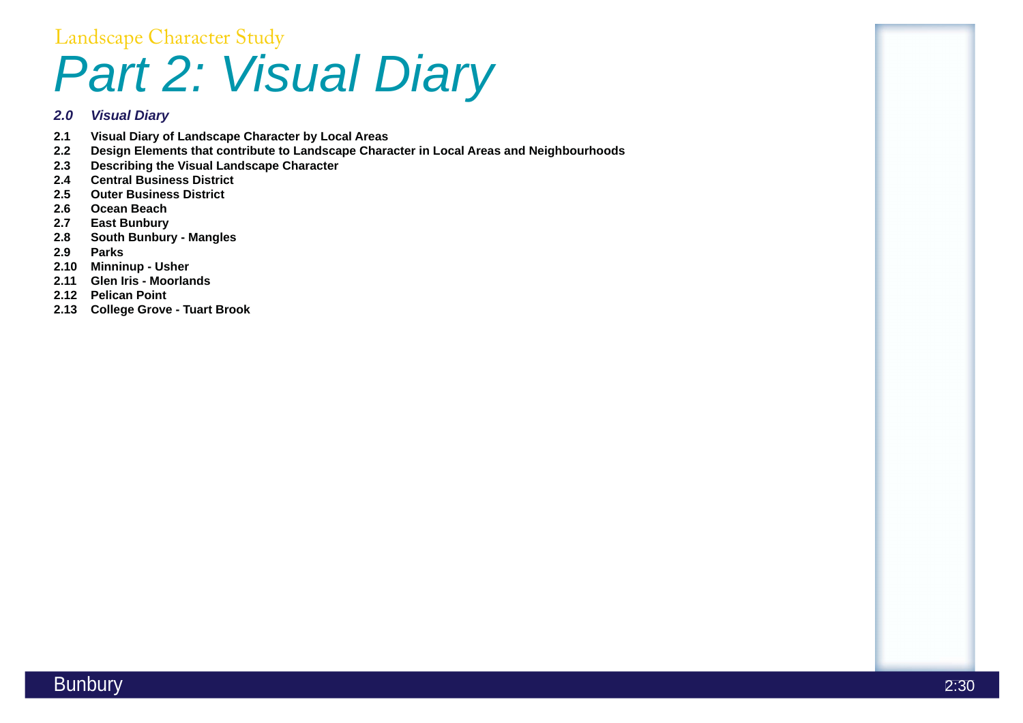

# Landscape Character Study *Part 2: Visual Diary*

### *2.0 Visual Diary*

- **2.1 Visual Diary of Landscape Character by Local Areas**
- **2.2 Design Elements that contribute to Landscape Character in Local Areas and Neighbourhoods**
- **2.3 Describing the Visual Landscape Character**
- **2.4 Central Business District**
- **2.5 Outer Business District**
- **2.6 Ocean Beach**
- **2.7 East Bunbury**
- **2.8 South Bunbury Mangles**
- **2.9 Parks**
- **2.10 Minninup Usher**
- **2.11 Glen Iris Moorlands**
- **2.12 Pelican Point**
- **2.13 College Grove Tuart Brook**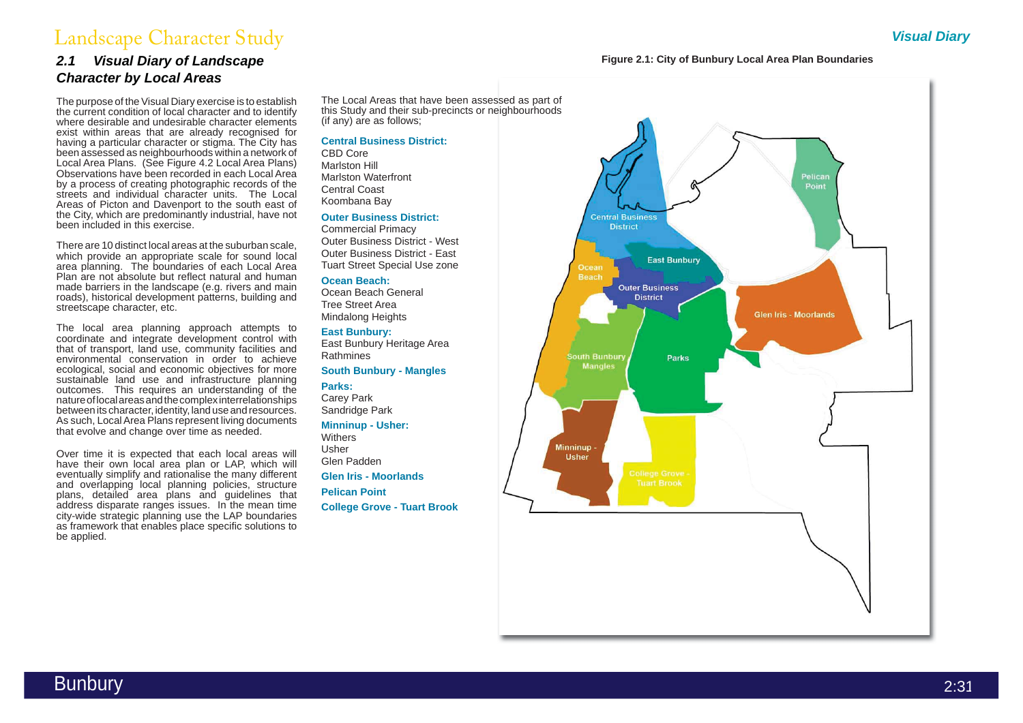Bunbury 2:31



## Landscape Character Study *Visual Diary*

### *2.1 Visual Diary of Landscape Character by Local Areas*

There are 10 distinct local areas at the suburban scale, which provide an appropriate scale for sound local area planning. The boundaries of each Local Area Plan are not absolute but reflect natural and human made barriers in the landscape (e.g. rivers and main roads), historical development patterns, building and streetscape character, etc.

The purpose of the Visual Diary exercise is to establish the current condition of local character and to identify where desirable and undesirable character elements exist within areas that are already recognised for having a particular character or stigma. The City has been assessed as neighbourhoods within a network of Local Area Plans. (See Figure 4.2 Local Area Plans) Observations have been recorded in each Local Area by a process of creating photographic records of the streets and individual character units. The Local Areas of Picton and Davenport to the south east of the City, which are predominantly industrial, have not been included in this exercise.

> **Withers** Usher Glen Padden

The local area planning approach attempts to coordinate and integrate development control with that of transport, land use, community facilities and environmental conservation in order to achieve ecological, social and economic objectives for more sustainable land use and infrastructure planning outcomes. This requires an understanding of the nature of local areas and the complex interrelationships between its character, identity, land use and resources. As such, Local Area Plans represent living documents that evolve and change over time as needed.

Over time it is expected that each local areas will have their own local area plan or LAP, which will eventually simplify and rationalise the many different and overlapping local planning policies, structure plans, detailed area plans and guidelines that address disparate ranges issues. In the mean time city-wide strategic planning use the LAP boundaries as framework that enables place specific solutions to be applied.

The Local Areas that have been assessed as part of this Study and their sub-precincts or neighbourhoods (if any) are as follows;

#### **Central Business District:**

CBD Core Marlston Hill Marlston Waterfront Central Coast Koombana Bay

#### **Outer Business District:**

Commercial Primacy Outer Business District - West Outer Business District - East Tuart Street Special Use zone

#### **Ocean Beach:**

Ocean Beach General Tree Street Area Mindalong Heights

#### **East Bunbury:**

East Bunbury Heritage Area Rathmines

#### **South Bunbury - Mangles**

**Parks:**

Carey Park Sandridge Park

#### **Minninup - Usher:**

**Glen Iris - Moorlands**

**Pelican Point**

**College Grove - Tuart Brook**



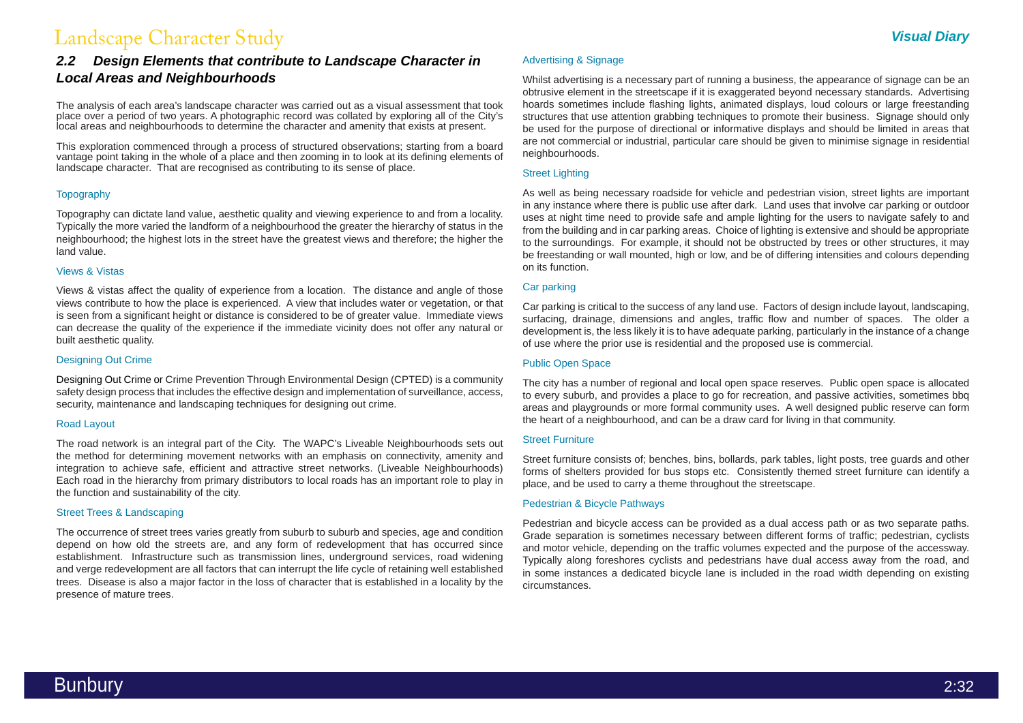

## Landscape Character Study *Visual Diary*

The analysis of each area's landscape character was carried out as a visual assessment that took place over a period of two years. A photographic record was collated by exploring all of the City's local areas and neighbourhoods to determine the character and amenity that exists at present.

### *2.2 Design Elements that contribute to Landscape Character in Local Areas and Neighbourhoods*

This exploration commenced through a process of structured observations; starting from a board vantage point taking in the whole of a place and then zooming in to look at its defining elements of landscape character. That are recognised as contributing to its sense of place.

#### **Topography**

Topography can dictate land value, aesthetic quality and viewing experience to and from a locality. Typically the more varied the landform of a neighbourhood the greater the hierarchy of status in the neighbourhood; the highest lots in the street have the greatest views and therefore; the higher the land value.

#### Views & Vistas

Views & vistas affect the quality of experience from a location. The distance and angle of those views contribute to how the place is experienced. A view that includes water or vegetation, or that is seen from a significant height or distance is considered to be of greater value. Immediate views can decrease the quality of the experience if the immediate vicinity does not offer any natural or built aesthetic quality.

#### Designing Out Crime

Designing Out Crime or Crime Prevention Through Environmental Design (CPTED) is a community safety design process that includes the effective design and implementation of surveillance, access, security, maintenance and landscaping techniques for designing out crime.

#### Road Layout

The road network is an integral part of the City. The WAPC's Liveable Neighbourhoods sets out the method for determining movement networks with an emphasis on connectivity, amenity and integration to achieve safe, efficient and attractive street networks. (Liveable Neighbourhoods) Each road in the hierarchy from primary distributors to local roads has an important role to play in the function and sustainability of the city.

#### Street Trees & Landscaping

The occurrence of street trees varies greatly from suburb to suburb and species, age and condition depend on how old the streets are, and any form of redevelopment that has occurred since establishment. Infrastructure such as transmission lines, underground services, road widening and verge redevelopment are all factors that can interrupt the life cycle of retaining well established trees. Disease is also a major factor in the loss of character that is established in a locality by the presence of mature trees.

#### Advertising & Signage

Whilst advertising is a necessary part of running a business, the appearance of signage can be an obtrusive element in the streetscape if it is exaggerated beyond necessary standards. Advertising hoards sometimes include flashing lights, animated displays, loud colours or large freestanding structures that use attention grabbing techniques to promote their business. Signage should only be used for the purpose of directional or informative displays and should be limited in areas that are not commercial or industrial, particular care should be given to minimise signage in residential neighbourhoods.

#### Street Lighting

As well as being necessary roadside for vehicle and pedestrian vision, street lights are important in any instance where there is public use after dark. Land uses that involve car parking or outdoor uses at night time need to provide safe and ample lighting for the users to navigate safely to and from the building and in car parking areas. Choice of lighting is extensive and should be appropriate to the surroundings. For example, it should not be obstructed by trees or other structures, it may be freestanding or wall mounted, high or low, and be of differing intensities and colours depending on its function.

#### Car parking

Car parking is critical to the success of any land use. Factors of design include layout, landscaping, surfacing, drainage, dimensions and angles, traffic flow and number of spaces. The older a development is, the less likely it is to have adequate parking, particularly in the instance of a change of use where the prior use is residential and the proposed use is commercial.

#### Public Open Space

The city has a number of regional and local open space reserves. Public open space is allocated to every suburb, and provides a place to go for recreation, and passive activities, sometimes bbq areas and playgrounds or more formal community uses. A well designed public reserve can form the heart of a neighbourhood, and can be a draw card for living in that community.

#### Street Furniture

Street furniture consists of; benches, bins, bollards, park tables, light posts, tree guards and other forms of shelters provided for bus stops etc. Consistently themed street furniture can identify a place, and be used to carry a theme throughout the streetscape.

#### Pedestrian & Bicycle Pathways

Pedestrian and bicycle access can be provided as a dual access path or as two separate paths. Grade separation is sometimes necessary between different forms of traffic; pedestrian, cyclists and motor vehicle, depending on the traffic volumes expected and the purpose of the accessway. Typically along foreshores cyclists and pedestrians have dual access away from the road, and in some instances a dedicated bicycle lane is included in the road width depending on existing circumstances.